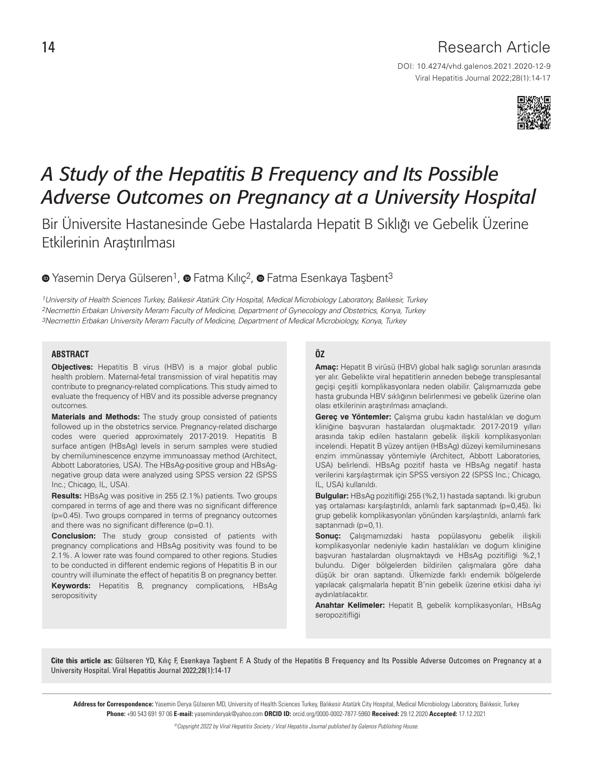# Research Article

DOI: 10.4274/vhd.galenos.2021.2020-12-9 Viral Hepatitis Journal 2022;28(1):14-17



# *A Study of the Hepatitis B Frequency and Its Possible Adverse Outcomes on Pregnancy at a University Hospital*

Bir Üniversite Hastanesinde Gebe Hastalarda Hepatit B Sıklığı ve Gebelik Üzerine Etkilerinin Araştırılması

<sup>O</sup>Yasemin Derya Gülseren<sup>1</sup>, <sup>O</sup> Fatma Kılıç<sup>2</sup>, <sup>O</sup> Fatma Esenkaya Taşbent<sup>3</sup>

1University of Health Sciences Turkey, Balıkesir Atatürk City Hospital, Medical Microbiology Laboratory, Balıkesir, Turkey 2Necmettin Erbakan University Meram Faculty of Medicine, Department of Gynecology and Obstetrics, Konya, Turkey 3Necmettin Erbakan University Meram Faculty of Medicine, Department of Medical Microbiology, Konya, Turkey

#### **ABSTRACT**

**Objectives:** Hepatitis B virus (HBV) is a major global public health problem. Maternal-fetal transmission of viral hepatitis may contribute to pregnancy-related complications. This study aimed to evaluate the frequency of HBV and its possible adverse pregnancy outcomes.

**Materials and Methods:** The study group consisted of patients followed up in the obstetrics service. Pregnancy-related discharge codes were queried approximately 2017-2019. Hepatitis B surface antigen (HBsAg) levels in serum samples were studied by chemiluminescence enzyme immunoassay method (Architect, Abbott Laboratories, USA). The HBsAg-positive group and HBsAgnegative group data were analyzed using SPSS version 22 (SPSS Inc.; Chicago, IL, USA).

**Results:** HBsAg was positive in 255 (2.1%) patients. Two groups compared in terms of age and there was no significant difference (p=0.45). Two groups compared in terms of pregnancy outcomes and there was no significant difference (p=0.1).

**Conclusion:** The study group consisted of patients with pregnancy complications and HBsAg positivity was found to be 2.1%. A lower rate was found compared to other regions. Studies to be conducted in different endemic regions of Hepatitis B in our country will illuminate the effect of hepatitis B on pregnancy better.

**Keywords:** Hepatitis B, pregnancy complications, HBsAg seropositivity

# **ÖZ**

**Amaç:** Hepatit B virüsü (HBV) global halk sağlığı sorunları arasında yer alır. Gebelikte viral hepatitlerin anneden bebeğe transplesantal geçişi çeşitli komplikasyonlara neden olabilir. Çalışmamızda gebe hasta grubunda HBV sıklığının belirlenmesi ve gebelik üzerine olan olası etkilerinin araştırılması amaçlandı.

**Gereç ve Yöntemler:** Çalışma grubu kadın hastalıkları ve doğum kliniğine başvuran hastalardan oluşmaktadır. 2017-2019 yılları arasında takip edilen hastaların gebelik ilişkili komplikasyonları incelendi. Hepatit B yüzey antijen (HBsAg) düzeyi kemiluminesans enzim immünassay yöntemiyle (Architect, Abbott Laboratories, USA) belirlendi. HBsAg pozitif hasta ve HBsAg negatif hasta verilerini karşılaştırmak için SPSS versiyon 22 (SPSS Inc.; Chicago, IL, USA) kullanıldı.

**Bulgular:** HBsAg pozitifliği 255 (%2,1) hastada saptandı. İki grubun yaş ortalaması karşılaştırıldı, anlamlı fark saptanmadı (p=0,45). İki grup gebelik komplikasyonları yönünden karşılaştırıldı, anlamlı fark saptanmadı (p=0,1).

**Sonuç:** Çalışmamızdaki hasta popülasyonu gebelik ilişkili komplikasyonlar nedeniyle kadın hastalıkları ve doğum kliniğine başvuran hastalardan oluşmaktaydı ve HBsAg pozitifliği %2,1 bulundu. Diğer bölgelerden bildirilen çalışmalara göre daha düşük bir oran saptandı. Ülkemizde farklı endemik bölgelerde yapılacak çalışmalarla hepatit B'nin gebelik üzerine etkisi daha iyi aydınlatılacaktır.

**Anahtar Kelimeler:** Hepatit B, gebelik komplikasyonları, HBsAg seropozitifliği

Cite this article as: Gülseren YD, Kılıç F, Esenkaya Taşbent F. A Study of the Hepatitis B Frequency and Its Possible Adverse Outcomes on Pregnancy at a University Hospital. Viral Hepatitis Journal 2022;28(1):14-17

Address for Correspondence: Yasemin Derya Gülseren MD, University of Health Sciences Turkey, Balıkesir Atatürk City Hospital, Medical Microbiology Laboratory, Balıkesir, Turkey Phone: +90 543 691 97 06 E-mail: yaseminderyak@yahoo.com ORCID ID: orcid.org/0000-0002-7877-5960 Received: 29.12.2020 Accepted: 17.12.2021

©Copyright 2022 by Viral Hepatitis Society / Viral Hepatitis Journal published by Galenos Publishing House.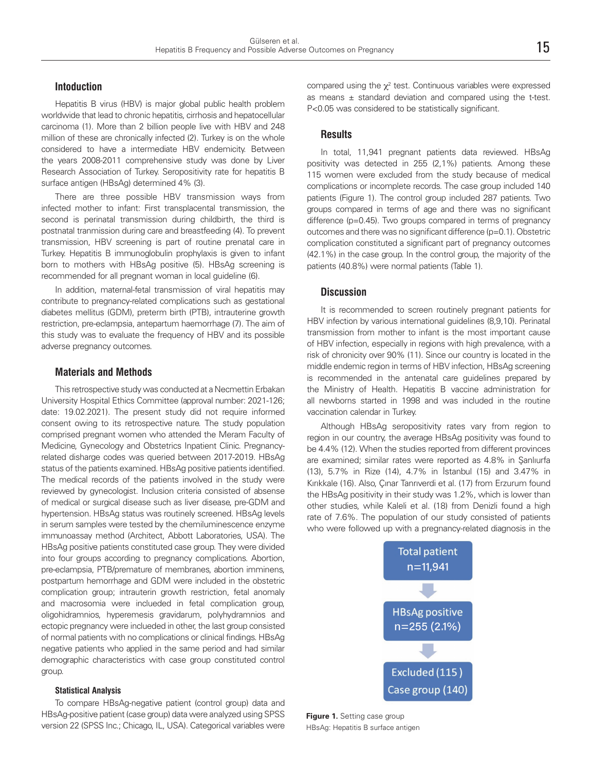# **Intoduction**

Hepatitis B virus (HBV) is major global public health problem worldwide that lead to chronic hepatitis, cirrhosis and hepatocellular carcinoma (1). More than 2 billion people live with HBV and 248 million of these are chronically infected (2). Turkey is on the whole considered to have a intermediate HBV endemicity. Between the years 2008-2011 comprehensive study was done by Liver Research Association of Turkey. Seropositivity rate for hepatitis B surface antigen (HBsAg) determined 4% (3).

There are three possible HBV transmission ways from infected mother to infant: First transplacental transmission, the second is perinatal transmission during childbirth, the third is postnatal tranmission during care and breastfeeding (4). To prevent transmission, HBV screening is part of routine prenatal care in Turkey. Hepatitis B immunoglobulin prophylaxis is given to infant born to mothers with HBsAg positive (5). HBsAg screening is recommended for all pregnant woman in local guideline (6).

In addition, maternal-fetal transmission of viral hepatitis may contribute to pregnancy-related complications such as gestational diabetes mellitus (GDM), preterm birth (PTB), intrauterine growth restriction, pre-eclampsia, antepartum haemorrhage (7). The aim of this study was to evaluate the frequency of HBV and its possible adverse pregnancy outcomes.

#### **Materials and Methods**

This retrospective study was conducted at a Necmettin Erbakan University Hospital Ethics Committee (approval number: 2021-126; date: 19.02.2021). The present study did not require informed consent owing to its retrospective nature. The study population comprised pregnant women who attended the Meram Faculty of Medicine, Gynecology and Obstetrics Inpatient Clinic. Pregnancyrelated disharge codes was queried between 2017-2019. HBsAg status of the patients examined. HBsAg positive patients identified. The medical records of the patients involved in the study were reviewed by gynecologist. Inclusion criteria consisted of absense of medical or surgical disease such as liver disease, pre-GDM and hypertension. HBsAg status was routinely screened. HBsAg levels in serum samples were tested by the chemiluminescence enzyme immunoassay method (Architect, Abbott Laboratories, USA). The HBsAg positive patients constituted case group. They were divided into four groups according to pregnancy complications. Abortion, pre-eclampsia, PTB/premature of membranes, abortion imminens, postpartum hemorrhage and GDM were included in the obstetric complication group; intrauterin growth restriction, fetal anomaly and macrosomia were inclueded in fetal complication group, oligohidramnios, hyperemesis gravidarum, polyhydramnios and ectopic pregnancy were inclueded in other, the last group consisted of normal patients with no complications or clinical findings. HBsAg negative patients who applied in the same period and had similar demographic characteristics with case group constituted control group.

#### **Statistical Analysis**

To compare HBsAg-negative patient (control group) data and HBsAg-positive patient (case group) data were analyzed using SPSS version 22 (SPSS Inc.; Chicago, IL, USA). Categorical variables were

compared using the  $\chi^2$  test. Continuous variables were expressed as means  $\pm$  standard deviation and compared using the t-test. P<0.05 was considered to be statistically significant.

# **Results**

In total, 11,941 pregnant patients data reviewed. HBsAg positivity was detected in 255 (2,1%) patients. Among these 115 women were excluded from the study because of medical complications or incomplete records. The case group included 140 patients (Figure 1). The control group included 287 patients. Two groups compared in terms of age and there was no significant difference (p=0.45). Two groups compared in terms of pregnancy outcomes and there was no significant difference (p=0.1). Obstetric complication constituted a significant part of pregnancy outcomes (42.1%) in the case group. In the control group, the majority of the patients (40.8%) were normal patients (Table 1).

# **Discussion**

It is recommended to screen routinely pregnant patients for HBV infection by various international guidelines (8,9,10). Perinatal transmission from mother to infant is the most important cause of HBV infection, especially in regions with high prevalence, with a risk of chronicity over 90% (11). Since our country is located in the middle endemic region in terms of HBV infection, HBsAg screening is recommended in the antenatal care guidelines prepared by the Ministry of Health. Hepatitis B vaccine administration for all newborns started in 1998 and was included in the routine vaccination calendar in Turkey.

Although HBsAg seropositivity rates vary from region to region in our country, the average HBsAg positivity was found to be 4.4% (12). When the studies reported from different provinces are examined; similar rates were reported as 4.8% in Şanlıurfa (13), 5.7% in Rize (14), 4.7% in İstanbul (15) and 3.47% in Kırıkkale (16). Also, Çınar Tanrıverdi et al. (17) from Erzurum found the HBsAg positivity in their study was 1.2%, which is lower than other studies, while Kaleli et al. (18) from Denizli found a high rate of 7.6%. The population of our study consisted of patients who were followed up with a pregnancy-related diagnosis in the



**Figure 1.** Setting case group HBsAg: Hepatitis B surface antigen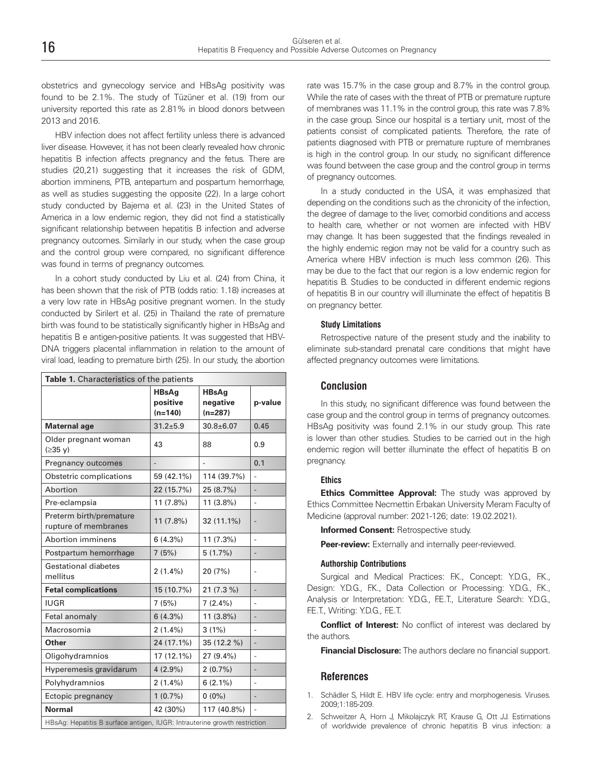obstetrics and gynecology service and HBsAg positivity was found to be 2.1%. The study of Tüzüner et al. (19) from our university reported this rate as 2.81% in blood donors between 2013 and 2016.

HBV infection does not affect fertility unless there is advanced liver disease. However, it has not been clearly revealed how chronic hepatitis B infection affects pregnancy and the fetus. There are studies (20,21) suggesting that it increases the risk of GDM, abortion imminens, PTB, antepartum and pospartum hemorrhage, as well as studies suggesting the opposite (22). In a large cohort study conducted by Bajema et al. (23) in the United States of America in a low endemic region, they did not find a statistically significant relationship between hepatitis B infection and adverse pregnancy outcomes. Similarly in our study, when the case group and the control group were compared, no significant difference was found in terms of pregnancy outcomes.

In a cohort study conducted by Liu et al. (24) from China, it has been shown that the risk of PTB (odds ratio: 1.18) increases at a very low rate in HBsAg positive pregnant women. In the study conducted by Sirilert et al. (25) in Thailand the rate of premature birth was found to be statistically significantly higher in HBsAg and hepatitis B e antigen-positive patients. It was suggested that HBV-DNA triggers placental inflammation in relation to the amount of viral load, leading to premature birth (25). In our study, the abortion

| Table 1. Characteristics of the patients                                  |                                       |                                       |                              |
|---------------------------------------------------------------------------|---------------------------------------|---------------------------------------|------------------------------|
|                                                                           | <b>HBsAg</b><br>positive<br>$(n=140)$ | <b>HBsAg</b><br>negative<br>$(n=287)$ | p-value                      |
| <b>Maternal age</b>                                                       | $31.2 + 5.9$                          | $30.8 \pm 6.07$                       | 0.45                         |
| Older pregnant woman<br>$(235 \text{ V})$                                 | 43                                    | 88                                    | 0.9                          |
| Pregnancy outcomes                                                        |                                       |                                       | 0.1                          |
| Obstetric complications                                                   | 59 (42.1%)                            | 114 (39.7%)                           |                              |
| Abortion                                                                  | 22 (15.7%)                            | 25 (8.7%)                             |                              |
| Pre-eclampsia                                                             | 11 (7.8%)                             | 11 (3.8%)                             | $\frac{1}{2}$                |
| Preterm birth/premature<br>rupture of membranes                           | 11 (7.8%)                             | 32 (11.1%)                            | $\overline{a}$               |
| Abortion imminens                                                         | 6(4.3%)                               | 11 (7.3%)                             | L,                           |
| Postpartum hemorrhage                                                     | 7(5%)                                 | 5(1.7%)                               |                              |
| Gestational diabetes<br>mellitus                                          | $2(1.4\%)$                            | 20 (7%)                               | $\overline{\phantom{0}}$     |
| <b>Fetal complications</b>                                                | 15 (10.7%)                            | 21 (7.3 %)                            |                              |
| <b>IUGR</b>                                                               | 7(5%)                                 | $7(2.4\%)$                            |                              |
| Fetal anomaly                                                             | 6(4.3%)                               | $11(3.8\%)$                           | $\qquad \qquad \blacksquare$ |
| Macrosomia                                                                | $2(1.4\%)$                            | $3(1\%)$                              | $\overline{a}$               |
| Other                                                                     | 24 (17.1%)                            | 35 (12.2 %)                           | $\overline{\phantom{a}}$     |
| Oligohydramnios                                                           | 17 (12.1%)                            | $27(9.4\%)$                           | L,                           |
| Hyperemesis gravidarum                                                    | $4(2.9\%)$                            | $2(0.7\%)$                            |                              |
| Polyhydramnios                                                            | $2(1.4\%)$                            | $6(2.1\%)$                            | $\overline{a}$               |
| Ectopic pregnancy                                                         | $1(0.7\%)$                            | $0(0\%)$                              |                              |
| <b>Normal</b>                                                             | 42 (30%)                              | 117 (40.8%)                           | $\overline{a}$               |
| HBsAg: Hepatitis B surface antigen, IUGR: Intrauterine growth restriction |                                       |                                       |                              |

rate was 15.7% in the case group and 8.7% in the control group. While the rate of cases with the threat of PTB or premature rupture of membranes was 11.1% in the control group, this rate was 7.8% in the case group. Since our hospital is a tertiary unit, most of the patients consist of complicated patients. Therefore, the rate of patients diagnosed with PTB or premature rupture of membranes is high in the control group. In our study, no significant difference was found between the case group and the control group in terms of pregnancy outcomes.

In a study conducted in the USA, it was emphasized that depending on the conditions such as the chronicity of the infection, the degree of damage to the liver, comorbid conditions and access to health care, whether or not women are infected with HBV may change. It has been suggested that the findings revealed in the highly endemic region may not be valid for a country such as America where HBV infection is much less common (26). This may be due to the fact that our region is a low endemic region for hepatitis B. Studies to be conducted in different endemic regions of hepatitis B in our country will illuminate the effect of hepatitis B on pregnancy better.

#### **Study Limitations**

Retrospective nature of the present study and the inability to eliminate sub-standard prenatal care conditions that might have affected pregnancy outcomes were limitations.

### **Conclusion**

In this study, no significant difference was found between the case group and the control group in terms of pregnancy outcomes. HBsAg positivity was found 2.1% in our study group. This rate is lower than other studies. Studies to be carried out in the high endemic region will better illuminate the effect of hepatitis B on pregnancy.

#### **Ethics**

**Ethics Committee Approval:** The study was approved by Ethics Committee Necmettin Erbakan University Meram Faculty of Medicine (approval number: 2021-126; date: 19.02.2021).

**Informed Consent:** Retrospective study.

**Peer-review:** Externally and internally peer-reviewed.

#### **Authorship Contributions**

Surgical and Medical Practices: F.K., Concept: Y.D.G., F.K., Design: Y.D.G., F.K., Data Collection or Processing: Y.D.G., F.K., Analysis or Interpretation: Y.D.G., F.E.T., Literature Search: Y.D.G., F.E.T., Writing: Y.D.G., F.E.T.

**Conflict of Interest:** No conflict of interest was declared by the authors.

**Financial Disclosure:** The authors declare no financial support.

#### **References**

- 1. Schädler S, Hildt E. HBV life cycle: entry and morphogenesis. Viruses. 2009;1:185-209.
- 2. Schweitzer A, Horn J, Mikolajczyk RT, Krause G, Ott JJ. Estimations of worldwide prevalence of chronic hepatitis B virus infection: a